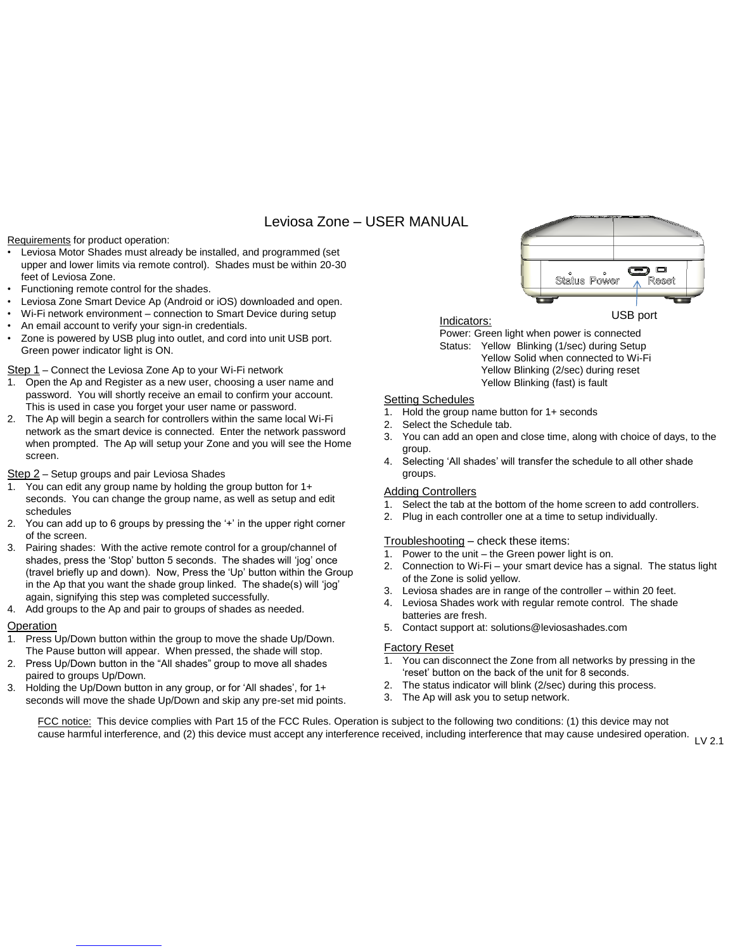# Leviosa Zone – USER MANUAL

Requirements for product operation:

- Leviosa Motor Shades must already be installed, and programmed (set upper and lower limits via remote control). Shades must be within 20-30 feet of Leviosa Zone.
- Functioning remote control for the shades.
- Leviosa Zone Smart Device Ap (Android or iOS) downloaded and open.
- Wi-Fi network environment connection to Smart Device during setup
- An email account to verify your sign-in credentials.
- Zone is powered by USB plug into outlet, and cord into unit USB port. Green power indicator light is ON.

Step 1 – Connect the Leviosa Zone Ap to your Wi-Fi network

- 1. Open the Ap and Register as a new user, choosing a user name and password. You will shortly receive an email to confirm your account. This is used in case you forget your user name or password.
- 2. The Ap will begin a search for controllers within the same local Wi-Fi network as the smart device is connected. Enter the network password when prompted. The Ap will setup your Zone and you will see the Home screen.

### Step 2 – Setup groups and pair Leviosa Shades

- 1. You can edit any group name by holding the group button for 1+ seconds. You can change the group name, as well as setup and edit schedules
- 2. You can add up to 6 groups by pressing the '+' in the upper right corner of the screen.
- 3. Pairing shades: With the active remote control for a group/channel of shades, press the 'Stop' button 5 seconds. The shades will 'jog' once (travel briefly up and down). Now, Press the 'Up' button within the Group in the Ap that you want the shade group linked. The shade(s) will 'jog' again, signifying this step was completed successfully.
- 4. Add groups to the Ap and pair to groups of shades as needed.

#### Operation

- 1. Press Up/Down button within the group to move the shade Up/Down. The Pause button will appear. When pressed, the shade will stop.
- 2. Press Up/Down button in the "All shades" group to move all shades paired to groups Up/Down.
- 3. Holding the Up/Down button in any group, or for 'All shades', for 1+ seconds will move the shade Up/Down and skip any pre-set mid points.



Power: Green light when power is connected Status: Yellow Blinking (1/sec) during Setup Yellow Solid when connected to Wi-Fi Yellow Blinking (2/sec) during reset Yellow Blinking (fast) is fault

## Setting Schedules

- 1. Hold the group name button for 1+ seconds
- 2. Select the Schedule tab.
- 3. You can add an open and close time, along with choice of days, to the group.
- 4. Selecting 'All shades' will transfer the schedule to all other shade groups.

### Adding Controllers

- 1. Select the tab at the bottom of the home screen to add controllers.
- 2. Plug in each controller one at a time to setup individually.

#### Troubleshooting – check these items:

- 1. Power to the unit the Green power light is on.
- 2. Connection to Wi-Fi your smart device has a signal. The status light of the Zone is solid yellow.
- 3. Leviosa shades are in range of the controller within 20 feet.
- 4. Leviosa Shades work with regular remote control. The shade batteries are fresh.
- 5. Contact support at: solutions@leviosashades.com

#### Factory Reset

- 1. You can disconnect the Zone from all networks by pressing in the 'reset' button on the back of the unit for 8 seconds.
- 2. The status indicator will blink (2/sec) during this process.
- 3. The Ap will ask you to setup network.

FCC notice: This device complies with Part 15 of the FCC Rules. Operation is subject to the following two conditions: (1) this device may not cause harmful interference, and (2) this device must accept any interference received, including interference that may cause undesired operation. LV 2.1